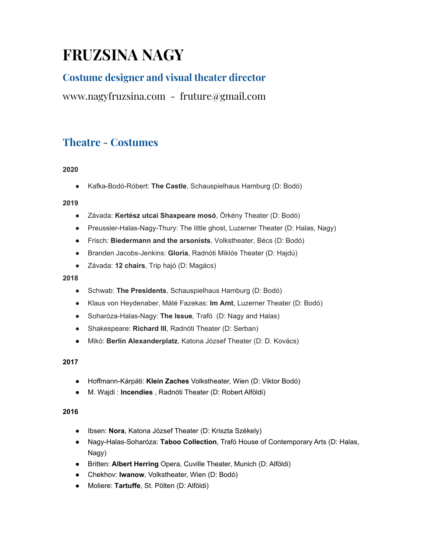# **FRUZSINA NAGY**

# **Costume designer and visual theater director**

[www.nagyfruzsina.com](http://www.nagyfruzsina.com/) - [fruture@gmail.com](mailto:fruture@gmail.com)

# **Theatre - Costumes**

# **2020**

● Kafka-Bodó-Róbert: **The Castle**, Schauspielhaus Hamburg (D: Bodó)

### **2019**

- Závada: **Kertész utcai Shaxpeare mosó**, Örkény Theater (D: Bodó)
- Preussler-Halas-Nagy-Thury: The little ghost, Luzerner Theater (D: Halas, Nagy)
- Frisch: **Biedermann and the arsonists**, Volkstheater, Bécs (D: Bodó)
- Branden Jacobs-Jenkins: **Gloria**, Radnóti Miklós Theater (D: Hajdú)
- Závada: **12 chairs**, Trip hajó (D: Magács)

### **2018**

- Schwab: **The Presidents**, Schauspielhaus Hamburg (D: Bodó)
- Klaus von Heydenaber, Máté Fazekas: **Im Amt**, Luzerner Theater (D: Bodó)
- Soharóza-Halas-Nagy: **The Issue***,* Trafó (D: Nagy and Halas)
- Shakespeare: **Richard III***,* Radnóti Theater (D: Serban)
- Mikó: **Berlin Alexanderplatz**, Katona József Theater (D: D. Kovács)

# **2017**

- Hoffmann-Kárpáti: **Klein Zaches** Volkstheater, Wien (D: Viktor Bodó)
- M. Wajdi : **Incendies** , Radnóti Theater (D: Robert Alföldi)

#### **2016**

- Ibsen: **Nora**, Katona József Theater (D: Kriszta Székely)
- Nagy-Halas-Soharóza: **Taboo Collection**, Trafó House of Contemporary Arts (D: Halas, Nagy)
- Britten: **Albert Herring** Opera, Cuville Theater, Munich (D: Alföldi)
- Chekhov: **Iwanow**, Volkstheater, Wien (D: Bodó)
- Moliere: **Tartuffe**, St. Pölten (D: Alföldi)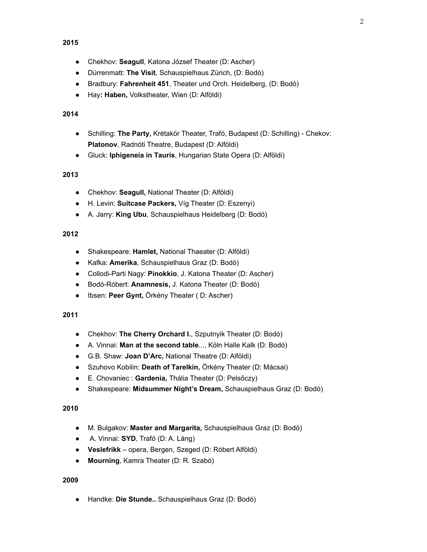- Chekhov: **Seagull**, Katona József Theater (D: Ascher)
- Dürrenmatt: **The Visit**, Schauspielhaus Zürich, (D: Bodó)
- Bradbury: **Fahrenheit 451**, Theater und Orch. Heidelberg, (D: Bodó)
- Hay**: Haben,** Volkstheater, Wien (D: Alföldi)

### **2014**

- Schilling: **The Party,** Krétakör Theater, Trafó, Budapest (D: Schilling) Chekov: **Platonov**, Radnóti Theatre, Budapest (D: Alföldi)
- Gluck: **Iphigeneia in Tauris**, Hungarian State Opera (D: Alföldi)

### **2013**

- Chekhov: **Seagull,** National Theater (D: Alföldi)
- H. Levin: **Suitcase Packers,** Víg Theater (D: Eszenyi)
- A. Jarry: **King Ubu**, Schauspielhaus Heidelberg (D: Bodó)

# **2012**

- Shakespeare: **Hamlet,** National Thaeater (D: Alföldi)
- Kafka: **Amerika**, Schauspielhaus Graz (D: Bodó)
- Collodi-Parti Nagy: **Pinokkio**, J. Katona Theater (D: Ascher)
- Bodó-Róbert: **Anamnesis,** J. Katona Theater (D: Bodó)
- Ibsen: **Peer Gynt,** Örkény Theater ( D: Ascher)

### **2011**

- Chekhov: **The Cherry Orchard I.**, Szputnyik Theater (D: Bodó)
- A. Vinnai: **Man at the second table**..., Köln Halle Kalk (D: Bodó)
- G.B. Shaw: **Joan D'Arc,** National Theatre (D: Alföldi)
- Szuhovo Kobilin: **Death of Tarelkin,** Örkény Theater (D: Mácsai)
- E. Chovaniec : **Gardenia,** Thália Theater (D: Pelsőczy)
- Shakespeare: **Midsummer Night's Dream,** Schauspielhaus Graz (D: Bodó)

# **2010**

- M. Bulgakov: **Master and Margarita,** Schauspielhaus Graz (D: Bodó)
- A. Vinnai: **SYD**, Trafó (D: A. Láng)
- **Veslefrikk** opera, Bergen, Szeged (D: Róbert Alföldi)
- **Mourning**, Kamra Theater (D: R. Szabó)

#### **2009**

● Handke: **Die Stunde..** Schauspielhaus Graz (D: Bodó)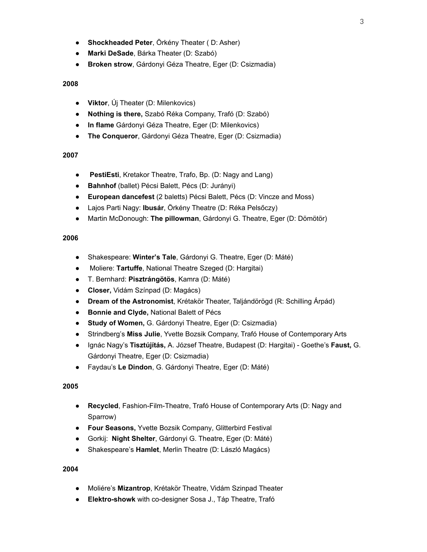- **Shockheaded Peter**, Örkény Theater ( D: Asher)
- **Marki DeSade**, Bárka Theater (D: Szabó)
- **Broken strow**, Gárdonyi Géza Theatre, Eger (D: Csizmadia)

- **Viktor**, Új Theater (D: Milenkovics)
- **Nothing is there,** Szabó Réka Company, Trafó (D: Szabó)
- **In flame** Gárdonyi Géza Theatre, Eger (D: Milenkovics)
- **The Conqueror**, Gárdonyi Géza Theatre, Eger (D: Csizmadia)

#### **2007**

- **PestiEsti**, Kretakor Theatre, Trafo, Bp. (D: Nagy and Lang)
- **Bahnhof** (ballet) Pécsi Balett, Pécs (D: Jurányi)
- **European dancefest** (2 baletts) Pécsi Balett, Pécs (D: Vincze and Moss)
- Lajos Parti Nagy: **Ibusár**, Örkény Theatre (D: Réka Pelsőczy)
- Martin McDonough: **The pillowman**, Gárdonyi G. Theatre, Eger (D: Dömötör)

#### **2006**

- Shakespeare: **Winter's Tale**, Gárdonyi G. Theatre, Eger (D: Máté)
- Moliere: **Tartuffe**, National Theatre Szeged (D: Hargitai)
- T. Bernhard: **Pisztrángötös**, Kamra (D: Máté)
- **Closer,** Vidám Színpad (D: Magács)
- **Dream of the Astronomist**, Krétakör Theater, Taljándörögd (R: Schilling Árpád)
- **Bonnie and Clyde,** National Balett of Pécs
- **Study of Women,** G. Gárdonyi Theatre, Eger (D: Csizmadia)
- Strindberg's **Miss Julie**, Yvette Bozsik Company, Trafó House of Contemporary Arts
- Ignác Nagy's **Tisztújítás,** A. József Theatre, Budapest (D: Hargitai) Goethe's **Faust,** G. Gárdonyi Theatre, Eger (D: Csizmadia)
- Faydau's **Le Dindon**, G. Gárdonyi Theatre, Eger (D: Máté)

#### **2005**

- **Recycled**, Fashion-Film-Theatre, Trafó House of Contemporary Arts (D: Nagy and Sparrow)
- **Four Seasons,** Yvette Bozsik Company, Glitterbird Festival
- Gorkij: **Night Shelter**, Gárdonyi G. Theatre, Eger (D: Máté)
- Shakespeare's **Hamlet**, Merlin Theatre (D: László Magács)

#### **2004**

- Moliére's **Mizantrop**, Krétakör Theatre, Vidám Szinpad Theater
- **Elektro-showk** with co-designer Sosa J., Táp Theatre, Trafó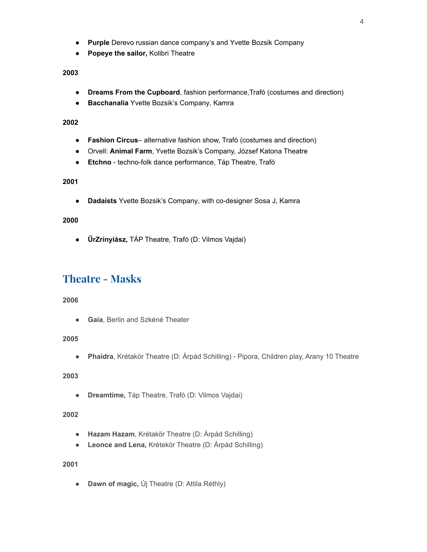- **Purple** Derevo russian dance company's and Yvette Bozsik Company
- **Popeye the sailor,** Kolibri Theatre

- **Dreams From the Cupboard**, fashion performance,Trafó (costumes and direction)
- **Bacchanalia** Yvette Bozsik's Company, Kamra

#### **2002**

- **Fashion Circus** alternative fashion show, Trafó (costumes and direction)
- Orvell: **Animal Farm**, Yvette Bozsik's Company, József Katona Theatre
- **Etchno** techno-folk dance performance, Táp Theatre, Trafó

# **2001**

● **Dadaists** Yvette Bozsik's Company, with co-designer Sosa J, Kamra

#### **2000**

● **ŰrZrínyiász,** TÁP Theatre, Trafó (D: Vilmos Vajdai)

# **Theatre - Masks**

#### **2006**

● **Gaia**, Berlin and Szkéné Theater

#### **2005**

● **Phaidra**, Krétakör Theatre (D: Árpád Schilling) - Pipora, Children play, Arany 10 Theatre

# **2003**

● **Dreamtime,** Táp Theatre, Trafó (D: Vilmos Vajdai)

#### **2002**

- **Hazam Hazam**, Krétakör Theatre (D: Árpád Schilling)
- **● Leonce and Lena,** Krétekör Theatre (D: Árpád Schilling)

# **2001**

● **Dawn of magic,** Új Theatre (D: Attila Réthly)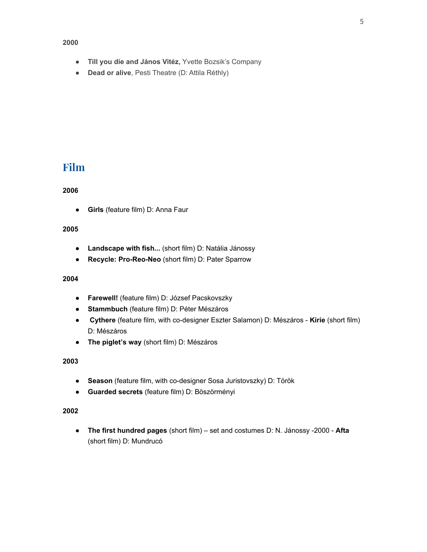- **Till you die and János Vitéz,** Yvette Bozsik's Company
- **Dead or alive**, Pesti Theatre (D: Attila Réthly)

# **Film**

#### **2006**

● **Girls** (feature film) D: Anna Faur

#### **2005**

- **Landscape with fish...** (short film) D: Natália Jánossy
- **Recycle: Pro-Reo-Neo** (short film) D: Pater Sparrow

#### **2004**

- **Farewell!** (feature film) D: József Pacskovszky
- **Stammbuch** (feature film) D: Péter Mészáros
- **Cythere** (feature film, with co-designer Eszter Salamon) D: Mészáros **Kirie** (short film) D: Mészáros
- **The piglet's way** (short film) D: Mészáros

#### **2003**

- **Season** (feature film, with co-designer Sosa Juristovszky) D: Török
- **Guarded secrets** (feature film) D: Böszörményi

#### **2002**

● **The first hundred pages** (short film) – set and costumes D: N. Jánossy -2000 - **Afta** (short film) D: Mundrucó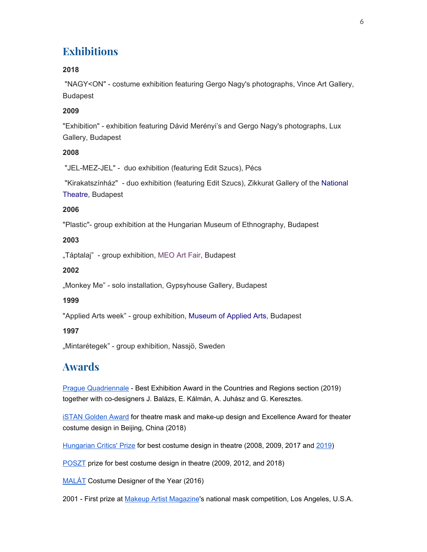# **Exhibitions**

# **2018**

 "NAGY<ON" - costume exhibition featuring Gergo Nagy's photographs, Vince Art Gallery, Budapest

# **2009**

"Exhibition" - exhibition featuring Dávid Merényi's and Gergo Nagy's photographs, Lux Gallery, Budapest

# **2008**

"JEL-MEZ-JEL" - duo exhibition (featuring Edit Szucs), Pécs

 "Kirakatszínház" - duo exhibition (featuring Edit Szucs), Zikkurat Gallery of the [National](https://en.wikipedia.org/wiki/National_Theatre_(Budapest)) [Theatre](https://en.wikipedia.org/wiki/National_Theatre_(Budapest)), Budapest

# **2006**

"Plastic"- group exhibition at the Hungarian Museum of Ethnography, Budapest

# **2003**

"Táptalaj" - group exhibition, [MEO Art Fair,](http://mucsarnok.hu/exhibitions/exhibitions.php?mid=56294ae8dbe27) Budapest

# **2002**

"Monkey Me" - solo installation, Gypsyhouse Gallery, Budapest

# **1999**

"Applied Arts week" - group exhibition, [Museum of Applied Arts](https://en.wikipedia.org/wiki/Museum_of_Applied_Arts_(Budapest)), Budapest

# **1997**

"Mintarétegek" - group exhibition, Nassjö, Sweden

# **Awards**

Prague [Quadriennale](https://www.pq.cz/) - Best Exhibition Award in the Countries and Regions section (2019) together with co-designers J. Balázs, E. Kálmán, A. Juhász and G. Keresztes.

**ISTAN [Golden](https://www.i-stan.org/competition.html) Award for theatre mask and make-up design and Excellence Award for theater** costume design in Beijing, China (2018)

[Hungarian](https://hu.wikipedia.org/wiki/Sz%C3%ADnikritikusok_D%C3%ADja) Critics' Prize for best costume design in theatre (2008, 2009, 2017 and [2019\)](https://szinhaz.org/csak-szinhaz/csak-szinhaz-hirek/2019/09/22/szinikritikusok-dija-2019-ok-a-nyertesek/)

[POSZT](http://poszt.hu/) prize for best costume design in theatre (2009, 2012, and 2018)

[MALÁT](http://www.stagedesign.hu/) Costume Designer of the Year (2016)

2001 - First prize at Makeup Artist [Magazine](https://makeupmag.com/)'s national mask competition, Los Angeles, U.S.A.